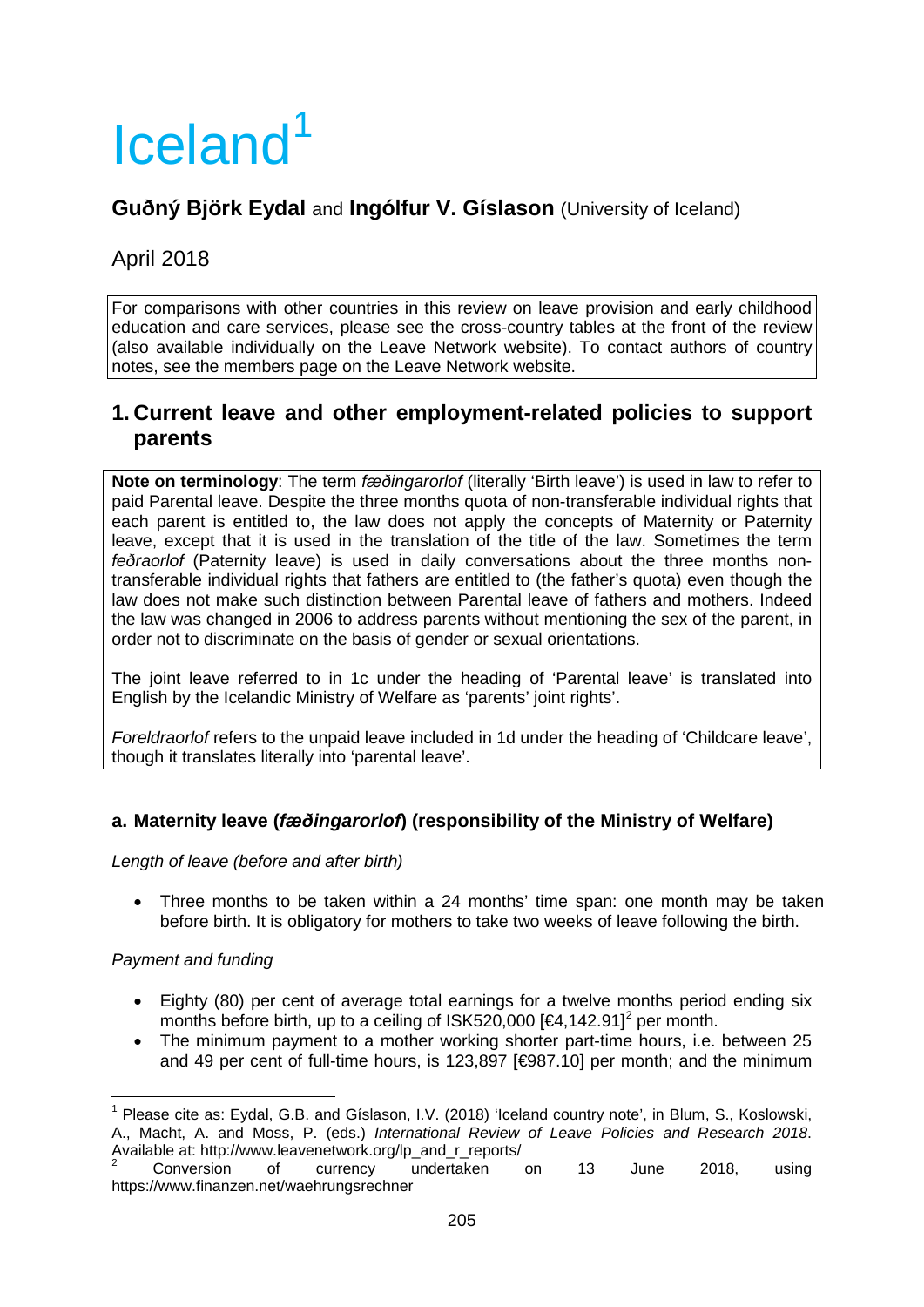# Iceland<sup>[1](#page-0-0)</sup>

# **Guðný Björk Eydal** and **Ingólfur V. Gíslason** (University of Iceland)

# April 2018

For comparisons with other countries in this review on leave provision and early childhood education and care services, please see the cross-country tables at the front of the review (also available individually on the Leave Network website). To contact authors of country notes, see the members page on the Leave Network website.

# **1. Current leave and other employment-related policies to support parents**

**Note on terminology**: The term *fæðingarorlof* (literally 'Birth leave') is used in law to refer to paid Parental leave. Despite the three months quota of non-transferable individual rights that each parent is entitled to, the law does not apply the concepts of Maternity or Paternity leave, except that it is used in the translation of the title of the law. Sometimes the term *feðraorlof* (Paternity leave) is used in daily conversations about the three months nontransferable individual rights that fathers are entitled to (the father's quota) even though the law does not make such distinction between Parental leave of fathers and mothers. Indeed the law was changed in 2006 to address parents without mentioning the sex of the parent, in order not to discriminate on the basis of gender or sexual orientations.

The joint leave referred to in 1c under the heading of 'Parental leave' is translated into English by the Icelandic Ministry of Welfare as 'parents' joint rights'.

*Foreldraorlof* refers to the unpaid leave included in 1d under the heading of 'Childcare leave', though it translates literally into 'parental leave'.

# **a. Maternity leave (***fæðingarorlof***) (responsibility of the Ministry of Welfare)**

*Length of leave (before and after birth)*

• Three months to be taken within a 24 months' time span: one month may be taken before birth. It is obligatory for mothers to take two weeks of leave following the birth.

# *Payment and funding*

- Eighty (80) per cent of average total earnings for a twelve months period ending six months before birth, up to a ceiling of ISK5[2](#page-0-1)0,000 [ $\epsilon$ 4,142.91]<sup>2</sup> per month.
- The minimum payment to a mother working shorter part-time hours, i.e. between 25 and 49 per cent of full-time hours, is 123,897 [€987.10] per month; and the minimum

<span id="page-0-0"></span><sup>1</sup> Please cite as: Eydal, G.B. and Gíslason, I.V. (2018) 'Iceland country note', in Blum, S., Koslowski, A., Macht, A. and Moss, P. (eds.) *International Review of Leave Policies and Research 2018*. Available at: [http://www.leavenetwork.org/lp\\_and\\_r\\_reports/](http://www.leavenetwork.org/lp_and_r_reports/)<br>
<sup>2</sup> Conversion of currency undertaken on 13 June 2018, using

<span id="page-0-1"></span>https://www.finanzen.net/waehrungsrechner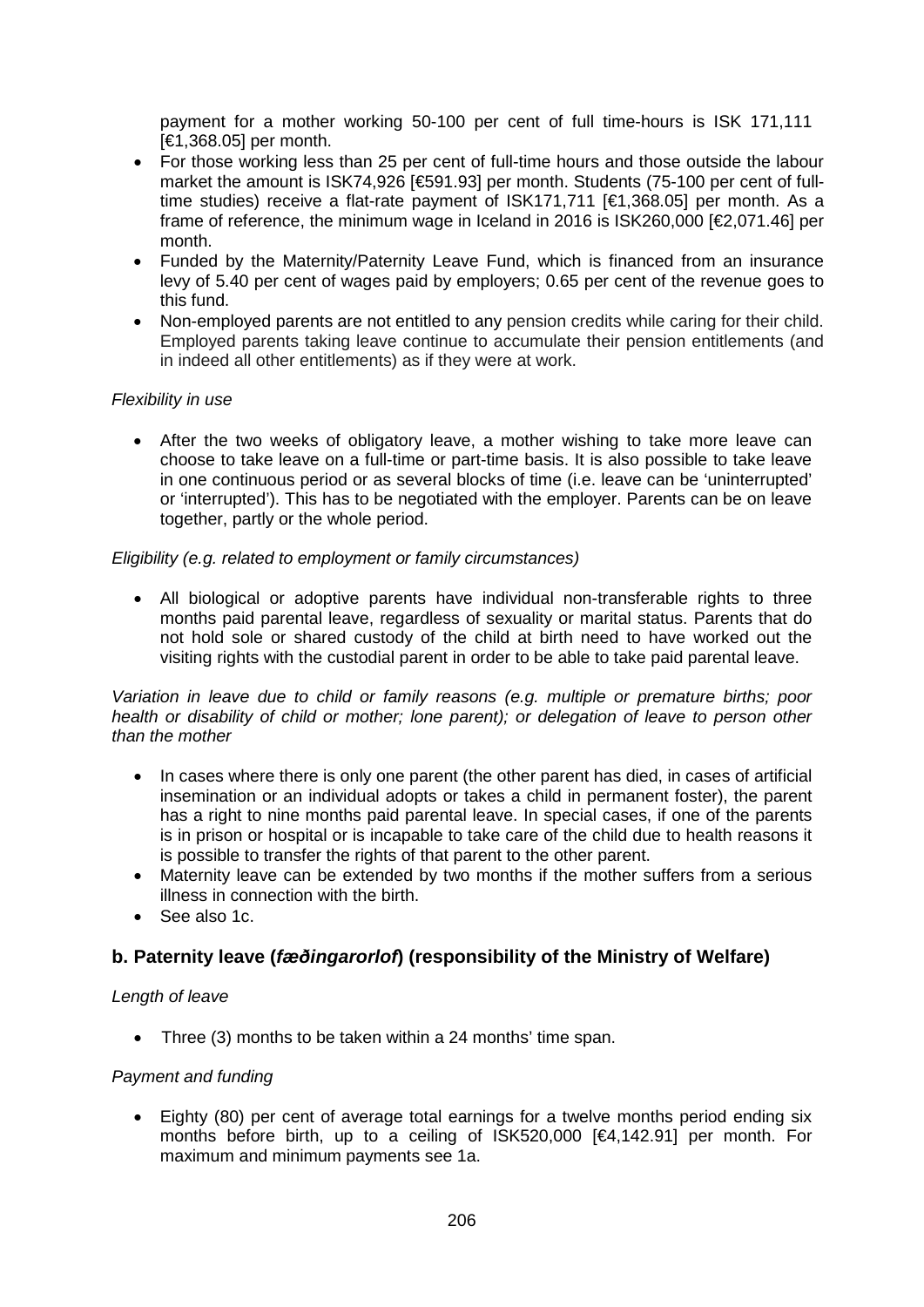payment for a mother working 50-100 per cent of full time-hours is ISK 171,111 [€1,368.05] per month.

- For those working less than 25 per cent of full-time hours and those outside the labour market the amount is ISK74,926 [€591.93] per month. Students (75-100 per cent of fulltime studies) receive a flat-rate payment of ISK171,711 [€1,368.05] per month. As a frame of reference, the minimum wage in Iceland in 2016 is ISK260,000 [€2,071.46] per month.
- Funded by the Maternity/Paternity Leave Fund, which is financed from an insurance levy of 5.40 per cent of wages paid by employers; 0.65 per cent of the revenue goes to this fund.
- Non-employed parents are not entitled to any pension credits while caring for their child. Employed parents taking leave continue to accumulate their pension entitlements (and in indeed all other entitlements) as if they were at work.

## *Flexibility in use*

• After the two weeks of obligatory leave, a mother wishing to take more leave can choose to take leave on a full-time or part-time basis. It is also possible to take leave in one continuous period or as several blocks of time (i.e. leave can be 'uninterrupted' or 'interrupted'). This has to be negotiated with the employer. Parents can be on leave together, partly or the whole period.

#### *Eligibility (e.g. related to employment or family circumstances)*

• All biological or adoptive parents have individual non-transferable rights to three months paid parental leave, regardless of sexuality or marital status. Parents that do not hold sole or shared custody of the child at birth need to have worked out the visiting rights with the custodial parent in order to be able to take paid parental leave.

*Variation in leave due to child or family reasons (e.g. multiple or premature births; poor health or disability of child or mother; lone parent); or delegation of leave to person other than the mother*

- In cases where there is only one parent (the other parent has died, in cases of artificial insemination or an individual adopts or takes a child in permanent foster), the parent has a right to nine months paid parental leave. In special cases, if one of the parents is in prison or hospital or is incapable to take care of the child due to health reasons it is possible to transfer the rights of that parent to the other parent.
- Maternity leave can be extended by two months if the mother suffers from a serious illness in connection with the birth.
- See also 1c.

# **b. Paternity leave (***fæðingarorlof***) (responsibility of the Ministry of Welfare)**

#### *Length of leave*

• Three (3) months to be taken within a 24 months' time span.

#### *Payment and funding*

• Eighty (80) per cent of average total earnings for a twelve months period ending six months before birth, up to a ceiling of ISK520,000 [€4,142.91] per month. For maximum and minimum payments see 1a.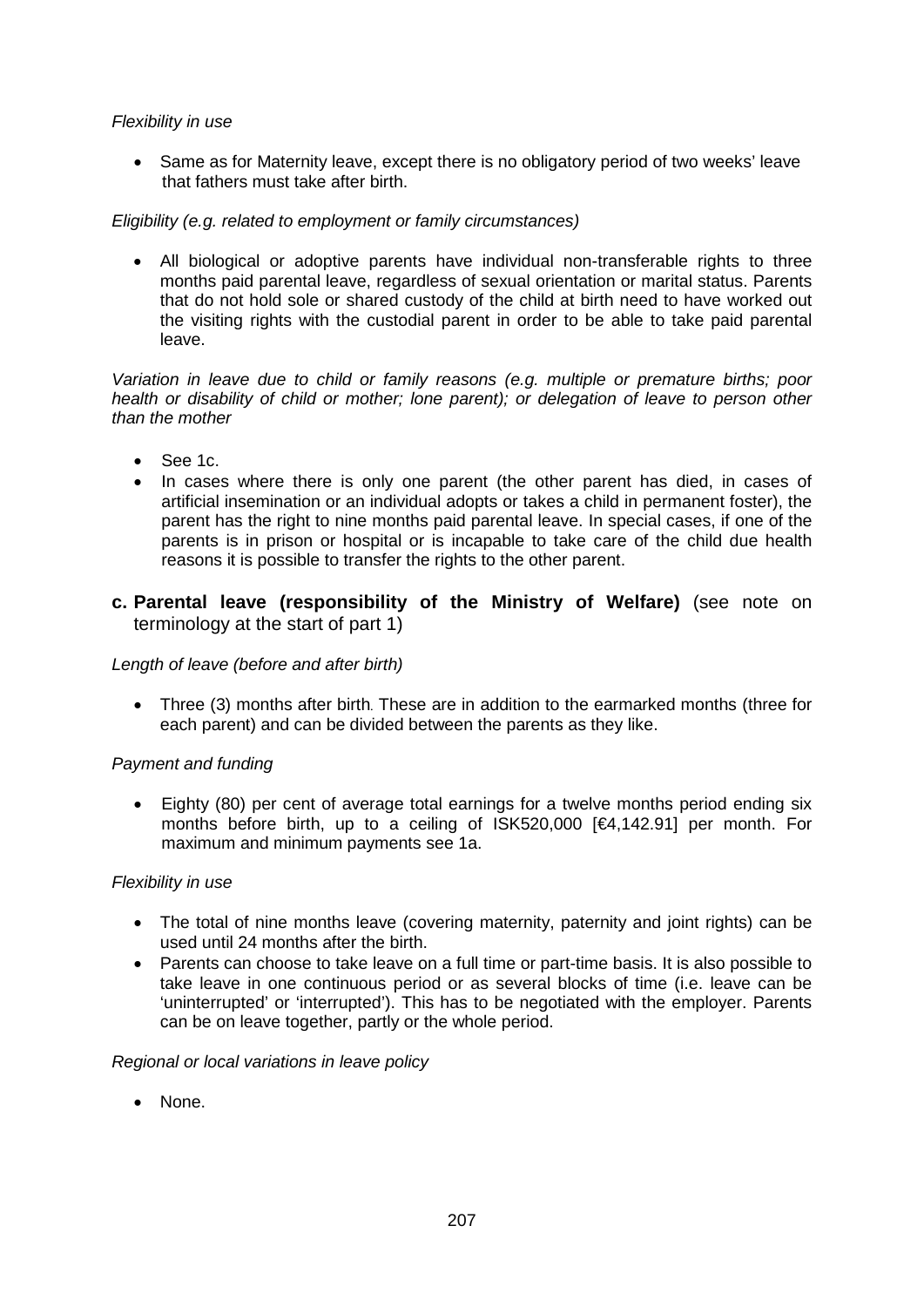#### *Flexibility in use*

• Same as for Maternity leave, except there is no obligatory period of two weeks' leave that fathers must take after birth.

## *Eligibility (e.g. related to employment or family circumstances)*

• All biological or adoptive parents have individual non-transferable rights to three months paid parental leave, regardless of sexual orientation or marital status. Parents that do not hold sole or shared custody of the child at birth need to have worked out the visiting rights with the custodial parent in order to be able to take paid parental leave.

*Variation in leave due to child or family reasons (e.g. multiple or premature births; poor health or disability of child or mother; lone parent); or delegation of leave to person other than the mother*

- See 1c.
- In cases where there is only one parent (the other parent has died, in cases of artificial insemination or an individual adopts or takes a child in permanent foster), the parent has the right to nine months paid parental leave. In special cases, if one of the parents is in prison or hospital or is incapable to take care of the child due health reasons it is possible to transfer the rights to the other parent.
- **c. Parental leave (responsibility of the Ministry of Welfare)** (see note on terminology at the start of part 1)

#### *Length of leave (before and after birth)*

• Three (3) months after birth. These are in addition to the earmarked months (three for each parent) and can be divided between the parents as they like.

# *Payment and funding*

• Eighty (80) per cent of average total earnings for a twelve months period ending six months before birth, up to a ceiling of ISK520,000 [€4,142.91] per month. For maximum and minimum payments see 1a.

#### *Flexibility in use*

- The total of nine months leave (covering maternity, paternity and joint rights) can be used until 24 months after the birth.
- Parents can choose to take leave on a full time or part-time basis. It is also possible to take leave in one continuous period or as several blocks of time (i.e. leave can be 'uninterrupted' or 'interrupted'). This has to be negotiated with the employer. Parents can be on leave together, partly or the whole period.

#### *Regional or local variations in leave policy*

• None.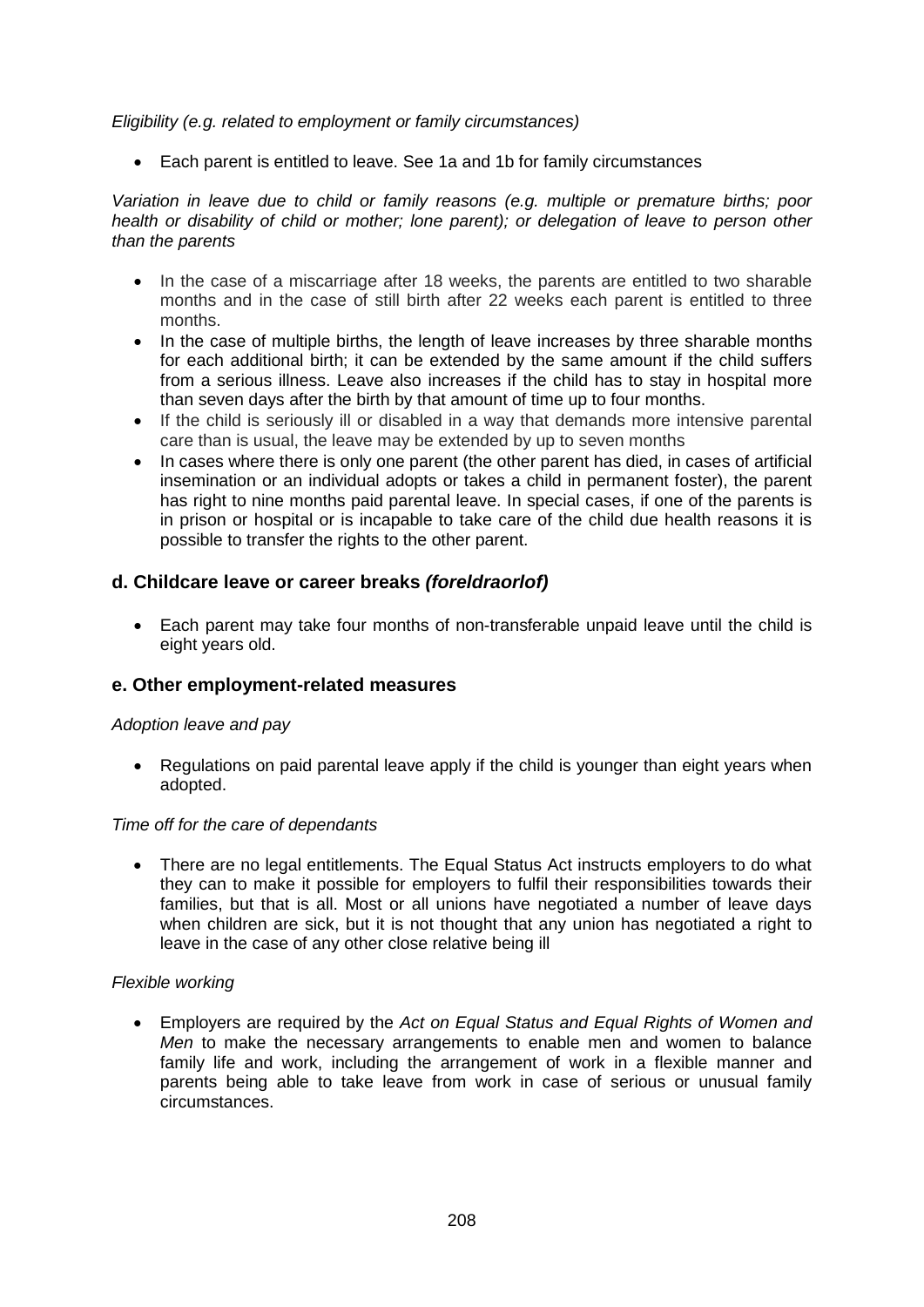#### *Eligibility (e.g. related to employment or family circumstances)*

• Each parent is entitled to leave. See 1a and 1b for family circumstances

*Variation in leave due to child or family reasons (e.g. multiple or premature births; poor health or disability of child or mother; lone parent); or delegation of leave to person other than the parents*

- In the case of a miscarriage after 18 weeks, the parents are entitled to two sharable months and in the case of still birth after 22 weeks each parent is entitled to three months.
- In the case of multiple births, the length of leave increases by three sharable months for each additional birth; it can be extended by the same amount if the child suffers from a serious illness. Leave also increases if the child has to stay in hospital more than seven days after the birth by that amount of time up to four months.
- If the child is seriously ill or disabled in a way that demands more intensive parental care than is usual, the leave may be extended by up to seven months
- In cases where there is only one parent (the other parent has died, in cases of artificial insemination or an individual adopts or takes a child in permanent foster), the parent has right to nine months paid parental leave. In special cases, if one of the parents is in prison or hospital or is incapable to take care of the child due health reasons it is possible to transfer the rights to the other parent.

# **d. Childcare leave or career breaks** *(foreldraorlof)*

• Each parent may take four months of non-transferable unpaid leave until the child is eight years old.

# **e. Other employment-related measures**

#### *Adoption leave and pay*

• Regulations on paid parental leave apply if the child is younger than eight years when adopted.

#### *Time off for the care of dependants*

• There are no legal entitlements. The Equal Status Act instructs employers to do what they can to make it possible for employers to fulfil their responsibilities towards their families, but that is all. Most or all unions have negotiated a number of leave days when children are sick, but it is not thought that any union has negotiated a right to leave in the case of any other close relative being ill

#### *Flexible working*

• Employers are required by the *Act on Equal Status and Equal Rights of Women and Men* to make the necessary arrangements to enable men and women to balance family life and work, including the arrangement of work in a flexible manner and parents being able to take leave from work in case of serious or unusual family circumstances.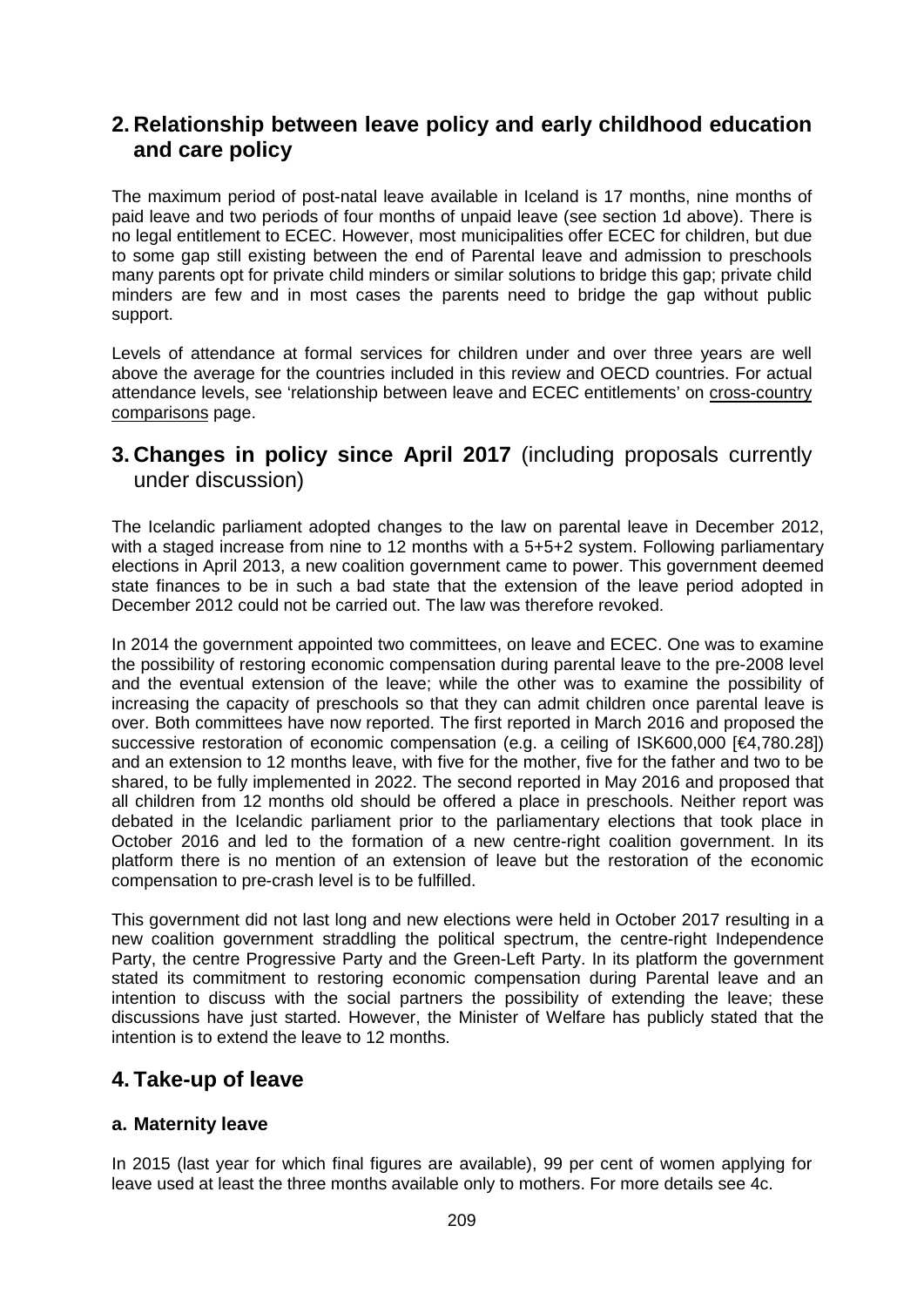# **2. Relationship between leave policy and early childhood education and care policy**

The maximum period of post-natal leave available in Iceland is 17 months, nine months of paid leave and two periods of four months of unpaid leave (see section 1d above). There is no legal entitlement to ECEC. However, most municipalities offer ECEC for children, but due to some gap still existing between the end of Parental leave and admission to preschools many parents opt for private child minders or similar solutions to bridge this gap; private child minders are few and in most cases the parents need to bridge the gap without public support.

Levels of attendance at formal services for children under and over three years are well above the average for the countries included in this review and OECD countries. For actual attendance levels, see 'relationship between leave and ECEC entitlements' on cross-country comparisons page.

# **3. Changes in policy since April 2017** (including proposals currently under discussion)

The Icelandic parliament adopted changes to the law on parental leave in December 2012, with a staged increase from nine to 12 months with a 5+5+2 system. Following parliamentary elections in April 2013, a new coalition government came to power. This government deemed state finances to be in such a bad state that the extension of the leave period adopted in December 2012 could not be carried out. The law was therefore revoked.

In 2014 the government appointed two committees, on leave and ECEC. One was to examine the possibility of restoring economic compensation during parental leave to the pre-2008 level and the eventual extension of the leave; while the other was to examine the possibility of increasing the capacity of preschools so that they can admit children once parental leave is over. Both committees have now reported. The first reported in March 2016 and proposed the successive restoration of economic compensation (e.g. a ceiling of ISK600,000 [€4,780,28]) and an extension to 12 months leave, with five for the mother, five for the father and two to be shared, to be fully implemented in 2022. The second reported in May 2016 and proposed that all children from 12 months old should be offered a place in preschools. Neither report was debated in the Icelandic parliament prior to the parliamentary elections that took place in October 2016 and led to the formation of a new centre-right coalition government. In its platform there is no mention of an extension of leave but the restoration of the economic compensation to pre-crash level is to be fulfilled.

This government did not last long and new elections were held in October 2017 resulting in a new coalition government straddling the political spectrum, the centre-right Independence Party, the centre Progressive Party and the Green-Left Party. In its platform the government stated its commitment to restoring economic compensation during Parental leave and an intention to discuss with the social partners the possibility of extending the leave; these discussions have just started. However, the Minister of Welfare has publicly stated that the intention is to extend the leave to 12 months.

# **4. Take-up of leave**

# **a. Maternity leave**

In 2015 (last year for which final figures are available), 99 per cent of women applying for leave used at least the three months available only to mothers. For more details see 4c.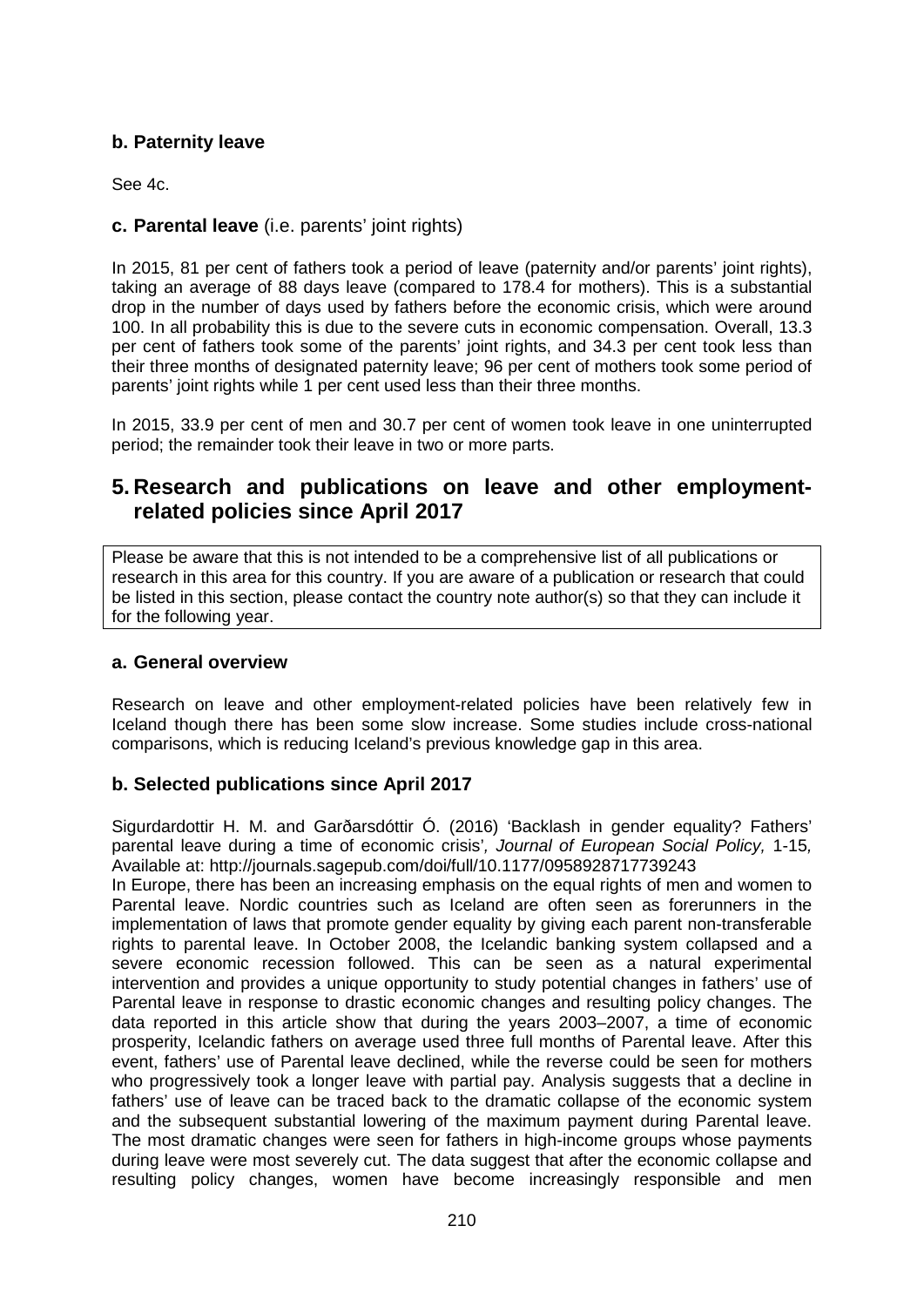# **b. Paternity leave**

See 4c.

# **c. Parental leave** (i.e. parents' joint rights)

In 2015, 81 per cent of fathers took a period of leave (paternity and/or parents' joint rights), taking an average of 88 days leave (compared to 178.4 for mothers). This is a substantial drop in the number of days used by fathers before the economic crisis, which were around 100. In all probability this is due to the severe cuts in economic compensation. Overall, 13.3 per cent of fathers took some of the parents' joint rights, and 34.3 per cent took less than their three months of designated paternity leave; 96 per cent of mothers took some period of parents' joint rights while 1 per cent used less than their three months.

In 2015, 33.9 per cent of men and 30.7 per cent of women took leave in one uninterrupted period; the remainder took their leave in two or more parts.

# **5. Research and publications on leave and other employmentrelated policies since April 2017**

Please be aware that this is not intended to be a comprehensive list of all publications or research in this area for this country. If you are aware of a publication or research that could be listed in this section, please contact the country note author(s) so that they can include it for the following year.

# **a. General overview**

Research on leave and other employment-related policies have been relatively few in Iceland though there has been some slow increase. Some studies include cross-national comparisons, which is reducing Iceland's previous knowledge gap in this area.

# **b. Selected publications since April 2017**

Sigurdardottir H. M. and Garðarsdóttir Ó. (2016) 'Backlash in gender equality? Fathers' parental leave during a time of economic crisis'*, Journal of European Social Policy,* 1-15*,*  Available at:<http://journals.sagepub.com/doi/full/10.1177/0958928717739243>

In Europe, there has been an increasing emphasis on the equal rights of men and women to Parental leave. Nordic countries such as Iceland are often seen as forerunners in the implementation of laws that promote gender equality by giving each parent non-transferable rights to parental leave. In October 2008, the Icelandic banking system collapsed and a severe economic recession followed. This can be seen as a natural experimental intervention and provides a unique opportunity to study potential changes in fathers' use of Parental leave in response to drastic economic changes and resulting policy changes. The data reported in this article show that during the years 2003–2007, a time of economic prosperity, Icelandic fathers on average used three full months of Parental leave. After this event, fathers' use of Parental leave declined, while the reverse could be seen for mothers who progressively took a longer leave with partial pay. Analysis suggests that a decline in fathers' use of leave can be traced back to the dramatic collapse of the economic system and the subsequent substantial lowering of the maximum payment during Parental leave. The most dramatic changes were seen for fathers in high-income groups whose payments during leave were most severely cut. The data suggest that after the economic collapse and resulting policy changes, women have become increasingly responsible and men